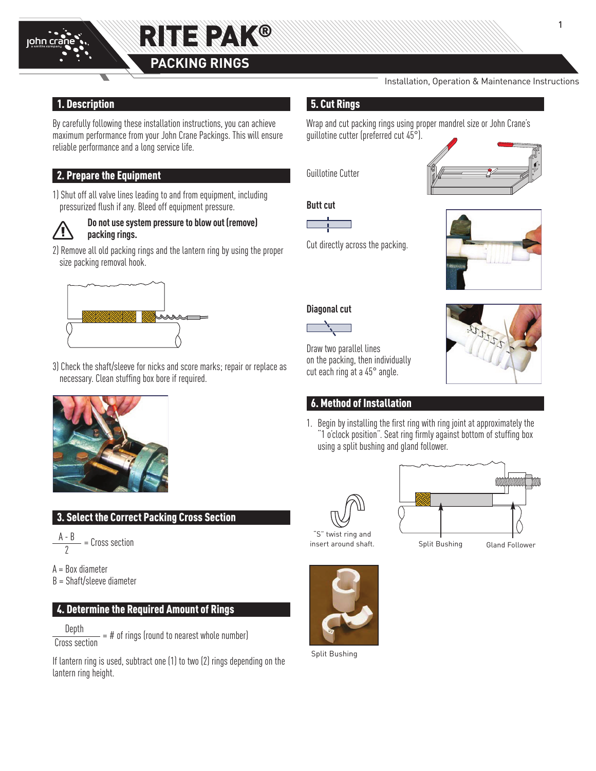



# 1. Description

By carefully following these installation instructions, you can achieve maximum performance from your John Crane Packings. This will ensure reliable performance and a long service life.

# 2. Prepare the Equipment

1) Shut off all valve lines leading to and from equipment, including pressurized flush if any. Bleed off equipment pressure.



## **Do not use system pressure to blow out (remove) packing rings.**

2) Remove all old packing rings and the lantern ring by using the proper size packing removal hook.



3) Check the shaft/sleeve for nicks and score marks; repair or replace as necessary. Clean stuffing box bore if required.



# **3. Select the Correct Packing Cross Section**

 $\frac{A - B}{2}$  = Cross section

- A = Box diameter
- B = Shaft/sleeve diameter

### 4. Determine the Required Amount of Rings

 Depth Cross section  $=$  # of rings (round to nearest whole number)

Split Bushing (Split Bushing) If lantern ring is used, subtract one (1) to two lantern ring height.

#### Installation, Operation & Maintenance Instructions

## 5. Cut Rings

Wrap and cut packing rings using proper mandrel size or John Crane's guillotine cutter (preferred cut 45°).

Guillotine Cutter

**Butt cut**



Cut directly across the packing.



## **Diagonal cut**



Draw two parallel lines on the packing, then individually cut each ring at a 45° angle.

# 6. Method of Installation

1. Begin by installing the first ring with ring joint at approximately the "1 o'clock position". Seat ring firmly against bottom of stuffing box using a split bushing and gland follower.





insert around shaft.

Split Bushing Gland Follower